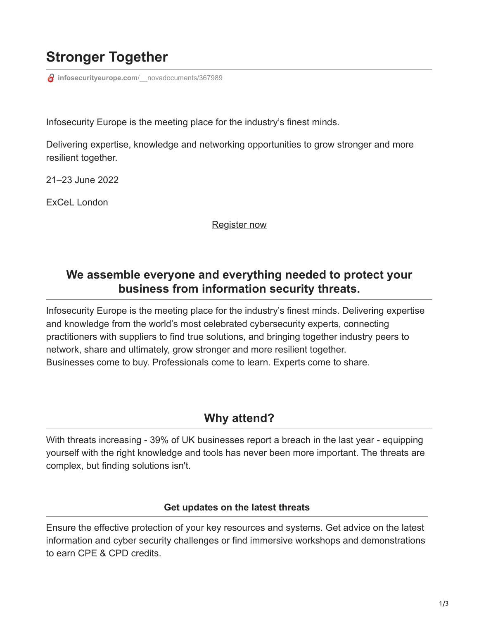# **Stronger Together**

*infosecurityeurope.com/\_novadocuments/367989* 

Infosecurity Europe is the meeting place for the industry's finest minds.

Delivering expertise, knowledge and networking opportunities to grow stronger and more resilient together.

21–23 June 2022

ExCeL London

[Register now](https://rfg.circdata.com/publish/InfoSec2022/simplereg.aspx)

# **We assemble everyone and everything needed to protect your business from information security threats.**

Infosecurity Europe is the meeting place for the industry's finest minds. Delivering expertise and knowledge from the world's most celebrated cybersecurity experts, connecting practitioners with suppliers to find true solutions, and bringing together industry peers to network, share and ultimately, grow stronger and more resilient together. Businesses come to buy. Professionals come to learn. Experts come to share.

## **Why attend?**

With threats increasing - 39% of UK businesses report a breach in the last year - equipping yourself with the right knowledge and tools has never been more important. The threats are complex, but finding solutions isn't.

#### **Get updates on the latest threats**

Ensure the effective protection of your key resources and systems. Get advice on the latest information and cyber security challenges or find immersive workshops and demonstrations to earn CPE & CPD credits.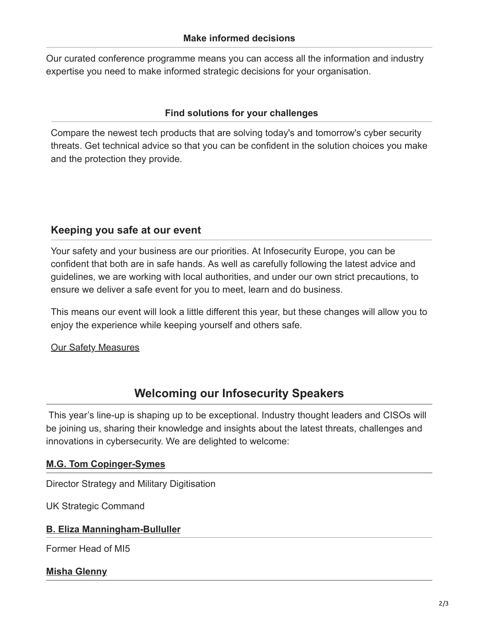Our curated conference programme means you can access all the information and industry expertise you need to make informed strategic decisions for your organisation.

### **Find solutions for your challenges**

Compare the newest tech products that are solving today's and tomorrow's cyber security threats. Get technical advice so that you can be confident in the solution choices you make and the protection they provide.

### **Keeping you safe at our event**

Your safety and your business are our priorities. At Infosecurity Europe, you can be confident that both are in safe hands. As well as carefully following the latest advice and guidelines, we are working with local authorities, and under our own strict precautions, to ensure we deliver a safe event for you to meet, learn and do business.

This means our event will look a little different this year, but these changes will allow you to enjoy the experience while keeping yourself and others safe.

### **[Our Safety Measures](https://www.infosecurityeurope.com/en-gb/help/safety.html)**

# **Welcoming our Infosecurity Speakers**

This year's line-up is shaping up to be exceptional. Industry thought leaders and CISOs will be joining us, sharing their knowledge and insights about the latest threats, challenges and innovations in cybersecurity. We are delighted to welcome:

### **[M.G. Tom Copinger-Symes](https://www.infosecurityeurope.com/en-gb/conference-programme/session-details.2601.147953.tackling-the-uncertain-future-of-security-threats.html)**

Director Strategy and Military Digitisation

UK Strategic Command

#### **[B. Eliza Manningham-Bulluller](https://www.infosecurityeurope.com/en-gb/conference-programme/session-details.2601.144996.leadership-in-an-age-of-uncertainty.html)**

Former Head of MI5

**[Misha Glenny](https://www.infosecurityeurope.com/en-gb/conference-programme/session-details.2601.144994.geopolitics-and-cyber-insecurity.html)**